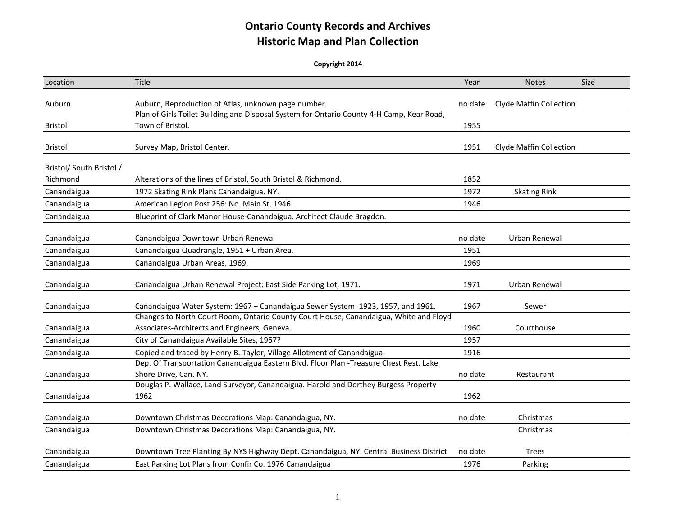| Location                 | Title                                                                                                                                 | Year    | <b>Notes</b>                   | Size |
|--------------------------|---------------------------------------------------------------------------------------------------------------------------------------|---------|--------------------------------|------|
| Auburn                   | Auburn, Reproduction of Atlas, unknown page number.                                                                                   | no date | <b>Clyde Maffin Collection</b> |      |
|                          | Plan of Girls Toilet Building and Disposal System for Ontario County 4-H Camp, Kear Road,                                             |         |                                |      |
| <b>Bristol</b>           | Town of Bristol.                                                                                                                      | 1955    |                                |      |
| <b>Bristol</b>           | Survey Map, Bristol Center.                                                                                                           | 1951    | Clyde Maffin Collection        |      |
| Bristol/ South Bristol / |                                                                                                                                       |         |                                |      |
| Richmond                 | Alterations of the lines of Bristol, South Bristol & Richmond.                                                                        | 1852    |                                |      |
| Canandaigua              | 1972 Skating Rink Plans Canandaigua. NY.                                                                                              | 1972    | <b>Skating Rink</b>            |      |
| Canandaigua              | American Legion Post 256: No. Main St. 1946.                                                                                          | 1946    |                                |      |
| Canandaigua              | Blueprint of Clark Manor House-Canandaigua. Architect Claude Bragdon.                                                                 |         |                                |      |
| Canandaigua              | Canandaigua Downtown Urban Renewal                                                                                                    | no date | Urban Renewal                  |      |
| Canandaigua              | Canandaigua Quadrangle, 1951 + Urban Area.                                                                                            | 1951    |                                |      |
| Canandaigua              | Canandaigua Urban Areas, 1969.                                                                                                        | 1969    |                                |      |
| Canandaigua              | Canandaigua Urban Renewal Project: East Side Parking Lot, 1971.                                                                       | 1971    | Urban Renewal                  |      |
| Canandaigua              | Canandaigua Water System: 1967 + Canandaigua Sewer System: 1923, 1957, and 1961.                                                      | 1967    | Sewer                          |      |
| Canandaigua              | Changes to North Court Room, Ontario County Court House, Canandaigua, White and Floyd<br>Associates-Architects and Engineers, Geneva. | 1960    | Courthouse                     |      |
| Canandaigua              | City of Canandaigua Available Sites, 1957?                                                                                            | 1957    |                                |      |
| Canandaigua              | Copied and traced by Henry B. Taylor, Village Allotment of Canandaigua.                                                               | 1916    |                                |      |
| Canandaigua              | Dep. Of Transportation Canandaigua Eastern Blvd. Floor Plan -Treasure Chest Rest. Lake<br>Shore Drive, Can. NY.                       | no date | Restaurant                     |      |
| Canandaigua              | Douglas P. Wallace, Land Surveyor, Canandaigua. Harold and Dorthey Burgess Property<br>1962                                           | 1962    |                                |      |
| Canandaigua              | Downtown Christmas Decorations Map: Canandaigua, NY.                                                                                  | no date | Christmas                      |      |
| Canandaigua              | Downtown Christmas Decorations Map: Canandaigua, NY.                                                                                  |         | Christmas                      |      |
| Canandaigua              | Downtown Tree Planting By NYS Highway Dept. Canandaigua, NY. Central Business District                                                | no date | <b>Trees</b>                   |      |
| Canandaigua              | East Parking Lot Plans from Confir Co. 1976 Canandaigua                                                                               | 1976    | Parking                        |      |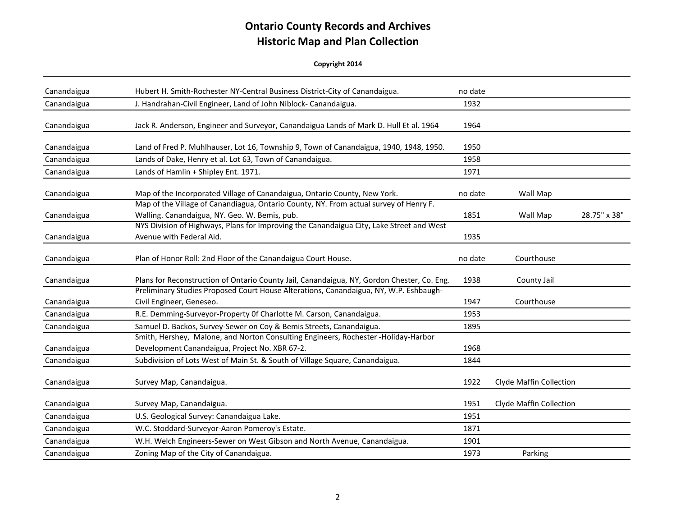| Canandaigua | Hubert H. Smith-Rochester NY-Central Business District-City of Canandaigua.                                                                                        | no date |                         |              |
|-------------|--------------------------------------------------------------------------------------------------------------------------------------------------------------------|---------|-------------------------|--------------|
| Canandaigua | J. Handrahan-Civil Engineer, Land of John Niblock-Canandaigua.                                                                                                     | 1932    |                         |              |
| Canandaigua | Jack R. Anderson, Engineer and Surveyor, Canandaigua Lands of Mark D. Hull Et al. 1964                                                                             | 1964    |                         |              |
| Canandaigua | Land of Fred P. Muhlhauser, Lot 16, Township 9, Town of Canandaigua, 1940, 1948, 1950.                                                                             | 1950    |                         |              |
| Canandaigua | Lands of Dake, Henry et al. Lot 63, Town of Canandaigua.                                                                                                           | 1958    |                         |              |
| Canandaigua | Lands of Hamlin + Shipley Ent. 1971.                                                                                                                               | 1971    |                         |              |
| Canandaigua | Map of the Incorporated Village of Canandaigua, Ontario County, New York.<br>Map of the Village of Canandiagua, Ontario County, NY. From actual survey of Henry F. | no date | Wall Map                |              |
| Canandaigua | Walling. Canandaigua, NY. Geo. W. Bemis, pub.                                                                                                                      | 1851    | Wall Map                | 28.75" x 38" |
| Canandaigua | NYS Division of Highways, Plans for Improving the Canandaigua City, Lake Street and West<br>Avenue with Federal Aid.                                               | 1935    |                         |              |
| Canandaigua | Plan of Honor Roll: 2nd Floor of the Canandaigua Court House.                                                                                                      | no date | Courthouse              |              |
| Canandaigua | Plans for Reconstruction of Ontario County Jail, Canandaigua, NY, Gordon Chester, Co. Eng.                                                                         | 1938    | County Jail             |              |
| Canandaigua | Preliminary Studies Proposed Court House Alterations, Canandaigua, NY, W.P. Eshbaugh-<br>Civil Engineer, Geneseo.                                                  | 1947    | Courthouse              |              |
| Canandaigua | R.E. Demming-Surveyor-Property Of Charlotte M. Carson, Canandaigua.                                                                                                | 1953    |                         |              |
| Canandaigua | Samuel D. Backos, Survey-Sewer on Coy & Bemis Streets, Canandaigua.                                                                                                | 1895    |                         |              |
| Canandaigua | Smith, Hershey, Malone, and Norton Consulting Engineers, Rochester - Holiday-Harbor<br>Development Canandaigua, Project No. XBR 67-2.                              | 1968    |                         |              |
| Canandaigua | Subdivision of Lots West of Main St. & South of Village Square, Canandaigua.                                                                                       | 1844    |                         |              |
| Canandaigua | Survey Map, Canandaigua.                                                                                                                                           | 1922    | Clyde Maffin Collection |              |
| Canandaigua | Survey Map, Canandaigua.                                                                                                                                           | 1951    | Clyde Maffin Collection |              |
| Canandaigua | U.S. Geological Survey: Canandaigua Lake.                                                                                                                          | 1951    |                         |              |
| Canandaigua | W.C. Stoddard-Surveyor-Aaron Pomeroy's Estate.                                                                                                                     | 1871    |                         |              |
| Canandaigua | W.H. Welch Engineers-Sewer on West Gibson and North Avenue, Canandaigua.                                                                                           | 1901    |                         |              |
| Canandaigua | Zoning Map of the City of Canandaigua.                                                                                                                             | 1973    | Parking                 |              |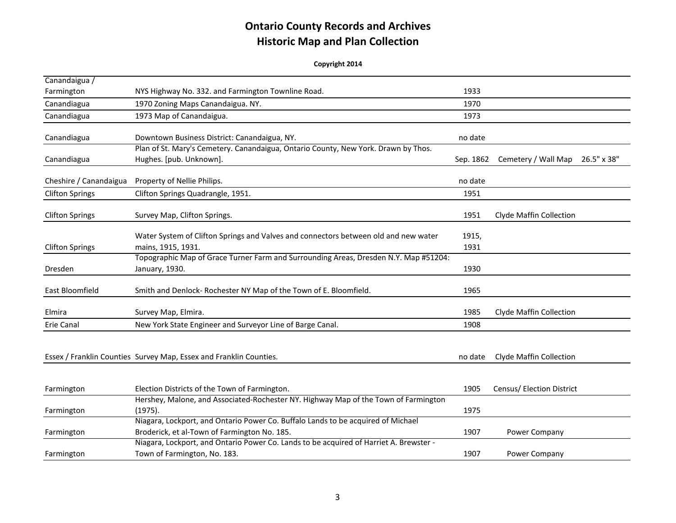| Canandaigua /          |                                                                                                                                  |           |                                    |
|------------------------|----------------------------------------------------------------------------------------------------------------------------------|-----------|------------------------------------|
| Farmington             | NYS Highway No. 332. and Farmington Townline Road.                                                                               | 1933      |                                    |
| Canandiagua            | 1970 Zoning Maps Canandaigua. NY.                                                                                                | 1970      |                                    |
| Canandiagua            | 1973 Map of Canandaigua.                                                                                                         | 1973      |                                    |
| Canandiagua            | Downtown Business District: Canandaigua, NY.                                                                                     | no date   |                                    |
|                        | Plan of St. Mary's Cemetery. Canandaigua, Ontario County, New York. Drawn by Thos.                                               |           |                                    |
| Canandiagua            | Hughes. [pub. Unknown].                                                                                                          | Sep. 1862 | 26.5" x 38"<br>Cemetery / Wall Map |
| Cheshire / Canandaigua | Property of Nellie Philips.                                                                                                      | no date   |                                    |
| <b>Clifton Springs</b> | Clifton Springs Quadrangle, 1951.                                                                                                | 1951      |                                    |
| <b>Clifton Springs</b> | Survey Map, Clifton Springs.                                                                                                     | 1951      | Clyde Maffin Collection            |
|                        | Water System of Clifton Springs and Valves and connectors between old and new water                                              | 1915,     |                                    |
| <b>Clifton Springs</b> | mains, 1915, 1931.                                                                                                               | 1931      |                                    |
| Dresden                | Topographic Map of Grace Turner Farm and Surrounding Areas, Dresden N.Y. Map #51204:<br>January, 1930.                           | 1930      |                                    |
| East Bloomfield        | Smith and Denlock-Rochester NY Map of the Town of E. Bloomfield.                                                                 | 1965      |                                    |
| Elmira                 | Survey Map, Elmira.                                                                                                              | 1985      | Clyde Maffin Collection            |
| Erie Canal             | New York State Engineer and Surveyor Line of Barge Canal.                                                                        | 1908      |                                    |
|                        | Essex / Franklin Counties Survey Map, Essex and Franklin Counties.                                                               | no date   | <b>Clyde Maffin Collection</b>     |
| Farmington             | Election Districts of the Town of Farmington.                                                                                    | 1905      | Census/ Election District          |
| Farmington             | Hershey, Malone, and Associated-Rochester NY. Highway Map of the Town of Farmington<br>(1975).                                   | 1975      |                                    |
| Farmington             | Niagara, Lockport, and Ontario Power Co. Buffalo Lands to be acquired of Michael<br>Broderick, et al-Town of Farmington No. 185. | 1907      | Power Company                      |
| Farmington             | Niagara, Lockport, and Ontario Power Co. Lands to be acquired of Harriet A. Brewster -<br>Town of Farmington, No. 183.           | 1907      | Power Company                      |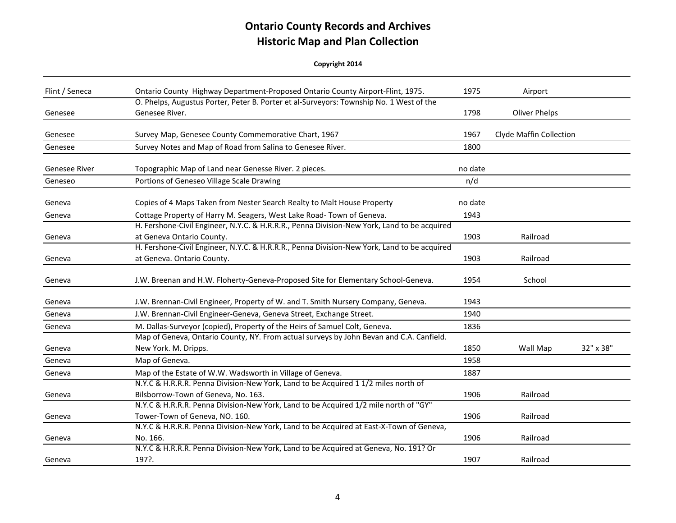| Flint / Seneca       | Ontario County Highway Department-Proposed Ontario County Airport-Flint, 1975.                                            | 1975    | Airport                 |           |
|----------------------|---------------------------------------------------------------------------------------------------------------------------|---------|-------------------------|-----------|
| Genesee              | O. Phelps, Augustus Porter, Peter B. Porter et al-Surveyors: Township No. 1 West of the<br>Genesee River.                 | 1798    | <b>Oliver Phelps</b>    |           |
| Genesee              | Survey Map, Genesee County Commemorative Chart, 1967                                                                      | 1967    | Clyde Maffin Collection |           |
| Genesee              | Survey Notes and Map of Road from Salina to Genesee River.                                                                | 1800    |                         |           |
| <b>Genesee River</b> | Topographic Map of Land near Genesse River. 2 pieces.                                                                     | no date |                         |           |
| Geneseo              | Portions of Geneseo Village Scale Drawing                                                                                 | n/d     |                         |           |
| Geneva               | Copies of 4 Maps Taken from Nester Search Realty to Malt House Property                                                   | no date |                         |           |
| Geneva               | Cottage Property of Harry M. Seagers, West Lake Road- Town of Geneva.                                                     | 1943    |                         |           |
| Geneva               | H. Fershone-Civil Engineer, N.Y.C. & H.R.R.R., Penna Division-New York, Land to be acquired<br>at Geneva Ontario County.  | 1903    | Railroad                |           |
| Geneva               | H. Fershone-Civil Engineer, N.Y.C. & H.R.R.R., Penna Division-New York, Land to be acquired<br>at Geneva. Ontario County. | 1903    | Railroad                |           |
| Geneva               | J.W. Breenan and H.W. Floherty-Geneva-Proposed Site for Elementary School-Geneva.                                         | 1954    | School                  |           |
| Geneva               | J.W. Brennan-Civil Engineer, Property of W. and T. Smith Nursery Company, Geneva.                                         | 1943    |                         |           |
| Geneva               | J.W. Brennan-Civil Engineer-Geneva, Geneva Street, Exchange Street.                                                       | 1940    |                         |           |
| Geneva               | M. Dallas-Surveyor (copied), Property of the Heirs of Samuel Colt, Geneva.                                                | 1836    |                         |           |
| Geneva               | Map of Geneva, Ontario County, NY. From actual surveys by John Bevan and C.A. Canfield.<br>New York. M. Dripps.           | 1850    | Wall Map                | 32" x 38" |
| Geneva               | Map of Geneva.                                                                                                            | 1958    |                         |           |
| Geneva               | Map of the Estate of W.W. Wadsworth in Village of Geneva.                                                                 | 1887    |                         |           |
| Geneva               | N.Y.C & H.R.R.R. Penna Division-New York, Land to be Acquired 1 1/2 miles north of<br>Bilsborrow-Town of Geneva, No. 163. | 1906    | Railroad                |           |
| Geneva               | N.Y.C & H.R.R.R. Penna Division-New York, Land to be Acquired 1/2 mile north of "GY"<br>Tower-Town of Geneva, NO. 160.    | 1906    | Railroad                |           |
| Geneva               | N.Y.C & H.R.R.R. Penna Division-New York, Land to be Acquired at East-X-Town of Geneva,<br>No. 166.                       | 1906    | Railroad                |           |
| Geneva               | N.Y.C & H.R.R.R. Penna Division-New York, Land to be Acquired at Geneva, No. 191? Or<br>197?.                             | 1907    | Railroad                |           |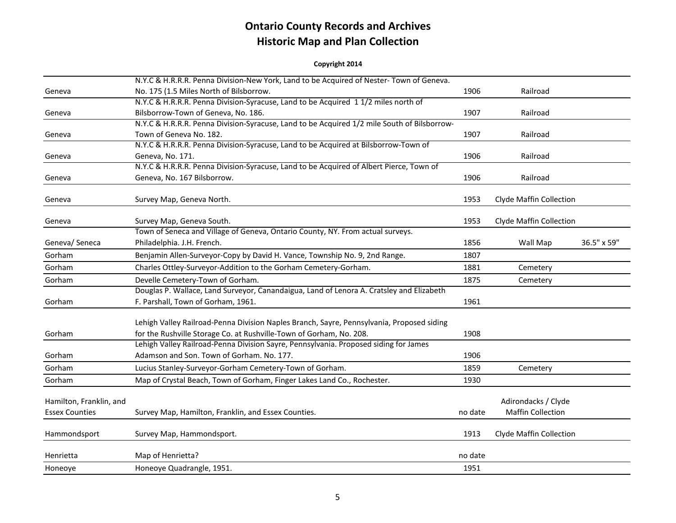|                         | N.Y.C & H.R.R.R. Penna Division-New York, Land to be Acquired of Nester-Town of Geneva.                                            |         |                          |             |
|-------------------------|------------------------------------------------------------------------------------------------------------------------------------|---------|--------------------------|-------------|
| Geneva                  | No. 175 (1.5 Miles North of Bilsborrow.                                                                                            | 1906    | Railroad                 |             |
|                         | N.Y.C & H.R.R.R. Penna Division-Syracuse, Land to be Acquired 11/2 miles north of                                                  |         |                          |             |
| Geneva                  | Bilsborrow-Town of Geneva, No. 186.<br>N.Y.C & H.R.R.R. Penna Division-Syracuse, Land to be Acquired 1/2 mile South of Bilsborrow- | 1907    | Railroad                 |             |
|                         | Town of Geneva No. 182.                                                                                                            | 1907    | Railroad                 |             |
| Geneva                  | N.Y.C & H.R.R.R. Penna Division-Syracuse, Land to be Acquired at Bilsborrow-Town of                                                |         |                          |             |
| Geneva                  | Geneva, No. 171.                                                                                                                   | 1906    | Railroad                 |             |
|                         | N.Y.C & H.R.R.R. Penna Division-Syracuse, Land to be Acquired of Albert Pierce, Town of                                            |         |                          |             |
| Geneva                  | Geneva, No. 167 Bilsborrow.                                                                                                        | 1906    | Railroad                 |             |
|                         |                                                                                                                                    |         |                          |             |
| Geneva                  | Survey Map, Geneva North.                                                                                                          | 1953    | Clyde Maffin Collection  |             |
| Geneva                  | Survey Map, Geneva South.                                                                                                          | 1953    | Clyde Maffin Collection  |             |
|                         | Town of Seneca and Village of Geneva, Ontario County, NY. From actual surveys.                                                     |         |                          |             |
| Geneva/ Seneca          | Philadelphia. J.H. French.                                                                                                         | 1856    | Wall Map                 | 36.5" x 59" |
| Gorham                  | Benjamin Allen-Surveyor-Copy by David H. Vance, Township No. 9, 2nd Range.                                                         | 1807    |                          |             |
| Gorham                  | Charles Ottley-Surveyor-Addition to the Gorham Cemetery-Gorham.                                                                    | 1881    | Cemetery                 |             |
| Gorham                  | Develle Cemetery-Town of Gorham.                                                                                                   | 1875    | Cemetery                 |             |
|                         | Douglas P. Wallace, Land Surveyor, Canandaigua, Land of Lenora A. Cratsley and Elizabeth                                           |         |                          |             |
| Gorham                  | F. Parshall, Town of Gorham, 1961.                                                                                                 | 1961    |                          |             |
|                         |                                                                                                                                    |         |                          |             |
|                         | Lehigh Valley Railroad-Penna Division Naples Branch, Sayre, Pennsylvania, Proposed siding                                          |         |                          |             |
| Gorham                  | for the Rushville Storage Co. at Rushville-Town of Gorham, No. 208.                                                                | 1908    |                          |             |
|                         | Lehigh Valley Railroad-Penna Division Sayre, Pennsylvania. Proposed siding for James                                               |         |                          |             |
| Gorham                  | Adamson and Son. Town of Gorham. No. 177.                                                                                          | 1906    |                          |             |
| Gorham                  | Lucius Stanley-Surveyor-Gorham Cemetery-Town of Gorham.                                                                            | 1859    | Cemetery                 |             |
| Gorham                  | Map of Crystal Beach, Town of Gorham, Finger Lakes Land Co., Rochester.                                                            | 1930    |                          |             |
|                         |                                                                                                                                    |         |                          |             |
| Hamilton, Franklin, and |                                                                                                                                    |         | Adirondacks / Clyde      |             |
| <b>Essex Counties</b>   | Survey Map, Hamilton, Franklin, and Essex Counties.                                                                                | no date | <b>Maffin Collection</b> |             |
|                         |                                                                                                                                    |         |                          |             |
| Hammondsport            | Survey Map, Hammondsport.                                                                                                          | 1913    | Clyde Maffin Collection  |             |
| Henrietta               | Map of Henrietta?                                                                                                                  | no date |                          |             |
|                         |                                                                                                                                    |         |                          |             |
| Honeoye                 | Honeoye Quadrangle, 1951.                                                                                                          | 1951    |                          |             |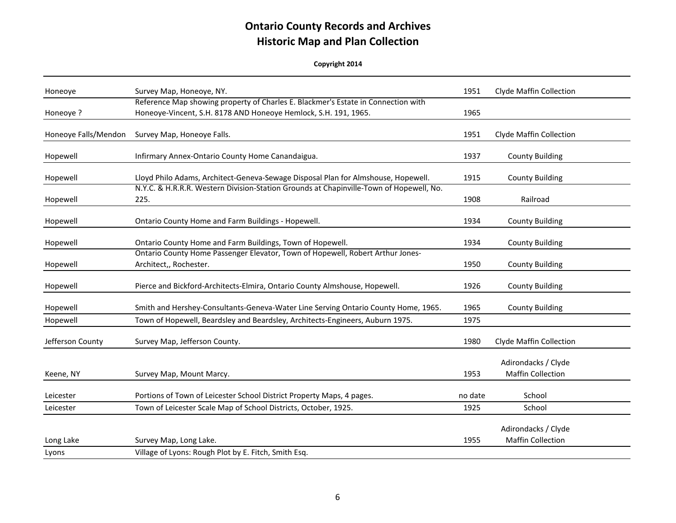| Honeoye              | Survey Map, Honeoye, NY.                                                                                                                             | 1951    | Clyde Maffin Collection                         |
|----------------------|------------------------------------------------------------------------------------------------------------------------------------------------------|---------|-------------------------------------------------|
| Honeoye ?            | Reference Map showing property of Charles E. Blackmer's Estate in Connection with<br>Honeoye-Vincent, S.H. 8178 AND Honeoye Hemlock, S.H. 191, 1965. | 1965    |                                                 |
| Honeoye Falls/Mendon | Survey Map, Honeoye Falls.                                                                                                                           | 1951    | Clyde Maffin Collection                         |
| Hopewell             | Infirmary Annex-Ontario County Home Canandaigua.                                                                                                     | 1937    | <b>County Building</b>                          |
| Hopewell             | Lloyd Philo Adams, Architect-Geneva-Sewage Disposal Plan for Almshouse, Hopewell.                                                                    | 1915    | <b>County Building</b>                          |
| Hopewell             | N.Y.C. & H.R.R.R. Western Division-Station Grounds at Chapinville-Town of Hopewell, No.<br>225.                                                      | 1908    | Railroad                                        |
| Hopewell             | Ontario County Home and Farm Buildings - Hopewell.                                                                                                   | 1934    | <b>County Building</b>                          |
| Hopewell             | Ontario County Home and Farm Buildings, Town of Hopewell.                                                                                            | 1934    | <b>County Building</b>                          |
| Hopewell             | Ontario County Home Passenger Elevator, Town of Hopewell, Robert Arthur Jones-<br>Architect,, Rochester.                                             | 1950    | <b>County Building</b>                          |
| Hopewell             | Pierce and Bickford-Architects-Elmira, Ontario County Almshouse, Hopewell.                                                                           | 1926    | <b>County Building</b>                          |
| Hopewell             | Smith and Hershey-Consultants-Geneva-Water Line Serving Ontario County Home, 1965.                                                                   | 1965    | <b>County Building</b>                          |
| Hopewell             | Town of Hopewell, Beardsley and Beardsley, Architects-Engineers, Auburn 1975.                                                                        | 1975    |                                                 |
| Jefferson County     | Survey Map, Jefferson County.                                                                                                                        | 1980    | Clyde Maffin Collection                         |
| Keene, NY            | Survey Map, Mount Marcy.                                                                                                                             | 1953    | Adirondacks / Clyde<br><b>Maffin Collection</b> |
| Leicester            | Portions of Town of Leicester School District Property Maps, 4 pages.                                                                                | no date | School                                          |
| Leicester            | Town of Leicester Scale Map of School Districts, October, 1925.                                                                                      | 1925    | School                                          |
| Long Lake            | Survey Map, Long Lake.                                                                                                                               | 1955    | Adirondacks / Clyde<br><b>Maffin Collection</b> |
| Lyons                | Village of Lyons: Rough Plot by E. Fitch, Smith Esq.                                                                                                 |         |                                                 |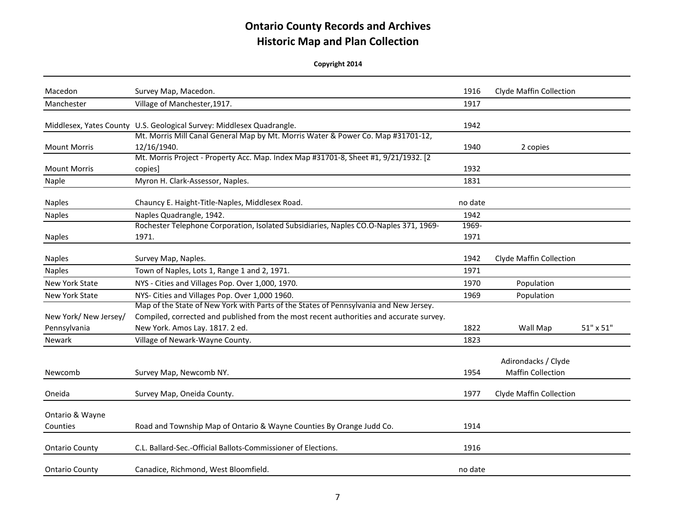| Macedon                               | Survey Map, Macedon.                                                                                                                    | 1916          | Clyde Maffin Collection                         |                  |
|---------------------------------------|-----------------------------------------------------------------------------------------------------------------------------------------|---------------|-------------------------------------------------|------------------|
| Manchester                            | Village of Manchester, 1917.                                                                                                            | 1917          |                                                 |                  |
|                                       | Middlesex, Yates County U.S. Geological Survey: Middlesex Quadrangle.                                                                   | 1942          |                                                 |                  |
| <b>Mount Morris</b>                   | Mt. Morris Mill Canal General Map by Mt. Morris Water & Power Co. Map #31701-12,<br>12/16/1940.                                         | 1940          | 2 copies                                        |                  |
| <b>Mount Morris</b>                   | Mt. Morris Project - Property Acc. Map. Index Map #31701-8, Sheet #1, 9/21/1932. [2<br>copies]                                          | 1932          |                                                 |                  |
| Naple                                 | Myron H. Clark-Assessor, Naples.                                                                                                        | 1831          |                                                 |                  |
| <b>Naples</b>                         | Chauncy E. Haight-Title-Naples, Middlesex Road.                                                                                         | no date       |                                                 |                  |
| <b>Naples</b>                         | Naples Quadrangle, 1942.                                                                                                                | 1942          |                                                 |                  |
| <b>Naples</b>                         | Rochester Telephone Corporation, Isolated Subsidiaries, Naples CO.O-Naples 371, 1969-<br>1971.                                          | 1969-<br>1971 |                                                 |                  |
| <b>Naples</b>                         | Survey Map, Naples.                                                                                                                     | 1942          | Clyde Maffin Collection                         |                  |
| <b>Naples</b>                         | Town of Naples, Lots 1, Range 1 and 2, 1971.                                                                                            | 1971          |                                                 |                  |
| New York State                        | NYS - Cities and Villages Pop. Over 1,000, 1970.                                                                                        | 1970          | Population                                      |                  |
| New York State                        | NYS- Cities and Villages Pop. Over 1,000 1960.<br>Map of the State of New York with Parts of the States of Pennsylvania and New Jersey. | 1969          | Population                                      |                  |
| New York/ New Jersey/<br>Pennsylvania | Compiled, corrected and published from the most recent authorities and accurate survey.<br>New York. Amos Lay. 1817. 2 ed.              | 1822          | Wall Map                                        | $51" \times 51"$ |
| <b>Newark</b>                         | Village of Newark-Wayne County.                                                                                                         | 1823          |                                                 |                  |
| Newcomb                               | Survey Map, Newcomb NY.                                                                                                                 | 1954          | Adirondacks / Clyde<br><b>Maffin Collection</b> |                  |
| Oneida                                | Survey Map, Oneida County.                                                                                                              | 1977          | Clyde Maffin Collection                         |                  |
| Ontario & Wayne<br>Counties           | Road and Township Map of Ontario & Wayne Counties By Orange Judd Co.                                                                    | 1914          |                                                 |                  |
| <b>Ontario County</b>                 | C.L. Ballard-Sec.-Official Ballots-Commissioner of Elections.                                                                           | 1916          |                                                 |                  |
| <b>Ontario County</b>                 | Canadice, Richmond, West Bloomfield.                                                                                                    | no date       |                                                 |                  |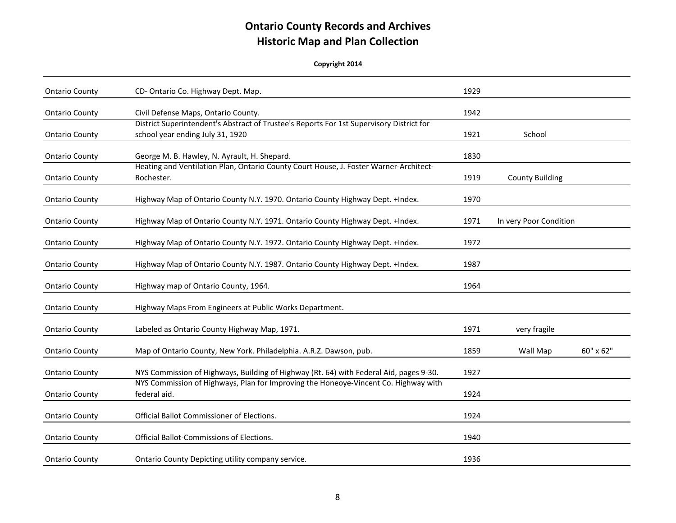| <b>Ontario County</b> | CD-Ontario Co. Highway Dept. Map.                                                                                               | 1929 |                        |           |
|-----------------------|---------------------------------------------------------------------------------------------------------------------------------|------|------------------------|-----------|
| <b>Ontario County</b> | Civil Defense Maps, Ontario County.<br>District Superintendent's Abstract of Trustee's Reports For 1st Supervisory District for | 1942 |                        |           |
| <b>Ontario County</b> | school year ending July 31, 1920                                                                                                | 1921 | School                 |           |
| <b>Ontario County</b> | George M. B. Hawley, N. Ayrault, H. Shepard.                                                                                    | 1830 |                        |           |
| <b>Ontario County</b> | Heating and Ventilation Plan, Ontario County Court House, J. Foster Warner-Architect-<br>Rochester.                             | 1919 | <b>County Building</b> |           |
| <b>Ontario County</b> | Highway Map of Ontario County N.Y. 1970. Ontario County Highway Dept. +Index.                                                   | 1970 |                        |           |
| <b>Ontario County</b> | Highway Map of Ontario County N.Y. 1971. Ontario County Highway Dept. +Index.                                                   | 1971 | In very Poor Condition |           |
| <b>Ontario County</b> | Highway Map of Ontario County N.Y. 1972. Ontario County Highway Dept. +Index.                                                   | 1972 |                        |           |
| <b>Ontario County</b> | Highway Map of Ontario County N.Y. 1987. Ontario County Highway Dept. +Index.                                                   | 1987 |                        |           |
| <b>Ontario County</b> | Highway map of Ontario County, 1964.                                                                                            | 1964 |                        |           |
| <b>Ontario County</b> | Highway Maps From Engineers at Public Works Department.                                                                         |      |                        |           |
| <b>Ontario County</b> | Labeled as Ontario County Highway Map, 1971.                                                                                    | 1971 | very fragile           |           |
| <b>Ontario County</b> | Map of Ontario County, New York. Philadelphia. A.R.Z. Dawson, pub.                                                              | 1859 | Wall Map               | 60" x 62" |
| <b>Ontario County</b> | NYS Commission of Highways, Building of Highway (Rt. 64) with Federal Aid, pages 9-30.                                          | 1927 |                        |           |
| <b>Ontario County</b> | NYS Commission of Highways, Plan for Improving the Honeoye-Vincent Co. Highway with<br>federal aid.                             | 1924 |                        |           |
| <b>Ontario County</b> | <b>Official Ballot Commissioner of Elections.</b>                                                                               | 1924 |                        |           |
| <b>Ontario County</b> | Official Ballot-Commissions of Elections.                                                                                       | 1940 |                        |           |
| <b>Ontario County</b> | Ontario County Depicting utility company service.                                                                               | 1936 |                        |           |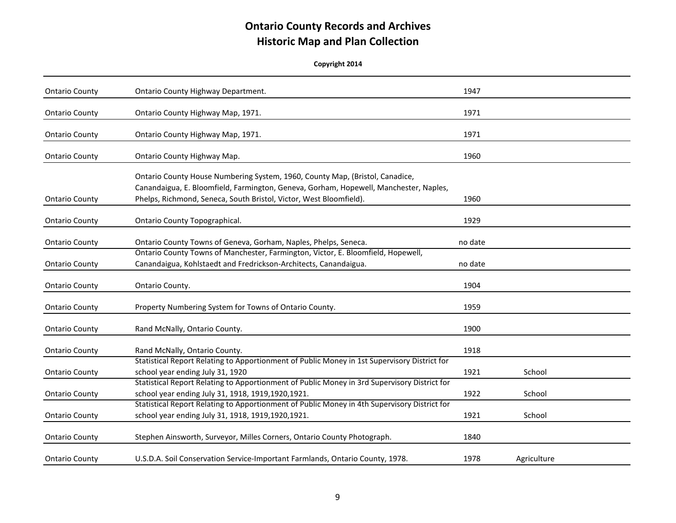| <b>Ontario County</b> | Ontario County Highway Department.                                                                                                                                    | 1947    |             |  |
|-----------------------|-----------------------------------------------------------------------------------------------------------------------------------------------------------------------|---------|-------------|--|
|                       |                                                                                                                                                                       |         |             |  |
| <b>Ontario County</b> | Ontario County Highway Map, 1971.                                                                                                                                     | 1971    |             |  |
| <b>Ontario County</b> | Ontario County Highway Map, 1971.                                                                                                                                     | 1971    |             |  |
|                       |                                                                                                                                                                       |         |             |  |
| <b>Ontario County</b> | Ontario County Highway Map.                                                                                                                                           | 1960    |             |  |
|                       |                                                                                                                                                                       |         |             |  |
|                       | Ontario County House Numbering System, 1960, County Map, (Bristol, Canadice,<br>Canandaigua, E. Bloomfield, Farmington, Geneva, Gorham, Hopewell, Manchester, Naples, |         |             |  |
|                       | Phelps, Richmond, Seneca, South Bristol, Victor, West Bloomfield).                                                                                                    | 1960    |             |  |
| <b>Ontario County</b> |                                                                                                                                                                       |         |             |  |
| <b>Ontario County</b> | Ontario County Topographical.                                                                                                                                         | 1929    |             |  |
|                       |                                                                                                                                                                       |         |             |  |
| <b>Ontario County</b> | Ontario County Towns of Geneva, Gorham, Naples, Phelps, Seneca.                                                                                                       | no date |             |  |
|                       | Ontario County Towns of Manchester, Farmington, Victor, E. Bloomfield, Hopewell,                                                                                      |         |             |  |
| <b>Ontario County</b> | Canandaigua, Kohlstaedt and Fredrickson-Architects, Canandaigua.                                                                                                      | no date |             |  |
| <b>Ontario County</b> | Ontario County.                                                                                                                                                       | 1904    |             |  |
|                       |                                                                                                                                                                       |         |             |  |
| <b>Ontario County</b> | Property Numbering System for Towns of Ontario County.                                                                                                                | 1959    |             |  |
| <b>Ontario County</b> | Rand McNally, Ontario County.                                                                                                                                         | 1900    |             |  |
|                       |                                                                                                                                                                       |         |             |  |
| <b>Ontario County</b> | Rand McNally, Ontario County.                                                                                                                                         | 1918    |             |  |
|                       | Statistical Report Relating to Apportionment of Public Money in 1st Supervisory District for                                                                          |         |             |  |
| <b>Ontario County</b> | school year ending July 31, 1920                                                                                                                                      | 1921    | School      |  |
|                       | Statistical Report Relating to Apportionment of Public Money in 3rd Supervisory District for                                                                          |         |             |  |
| <b>Ontario County</b> | school year ending July 31, 1918, 1919, 1920, 1921.                                                                                                                   | 1922    | School      |  |
|                       | Statistical Report Relating to Apportionment of Public Money in 4th Supervisory District for                                                                          |         |             |  |
| <b>Ontario County</b> | school year ending July 31, 1918, 1919, 1920, 1921.                                                                                                                   | 1921    | School      |  |
|                       |                                                                                                                                                                       | 1840    |             |  |
| <b>Ontario County</b> | Stephen Ainsworth, Surveyor, Milles Corners, Ontario County Photograph.                                                                                               |         |             |  |
| <b>Ontario County</b> | U.S.D.A. Soil Conservation Service-Important Farmlands, Ontario County, 1978.                                                                                         | 1978    | Agriculture |  |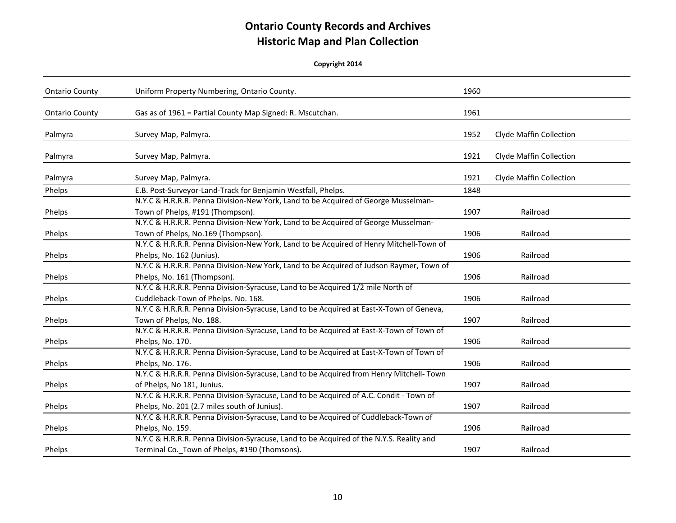| <b>Ontario County</b> | Uniform Property Numbering, Ontario County.                                             | 1960 |                         |
|-----------------------|-----------------------------------------------------------------------------------------|------|-------------------------|
| <b>Ontario County</b> | Gas as of 1961 = Partial County Map Signed: R. Mscutchan.                               | 1961 |                         |
| Palmyra               | Survey Map, Palmyra.                                                                    | 1952 | Clyde Maffin Collection |
| Palmyra               | Survey Map, Palmyra.                                                                    | 1921 | Clyde Maffin Collection |
| Palmyra               | Survey Map, Palmyra.                                                                    | 1921 | Clyde Maffin Collection |
| Phelps                | E.B. Post-Surveyor-Land-Track for Benjamin Westfall, Phelps.                            | 1848 |                         |
|                       | N.Y.C & H.R.R.R. Penna Division-New York, Land to be Acquired of George Musselman-      |      |                         |
| Phelps                | Town of Phelps, #191 (Thompson).                                                        | 1907 | Railroad                |
|                       | N.Y.C & H.R.R.R. Penna Division-New York, Land to be Acquired of George Musselman-      |      |                         |
| Phelps                | Town of Phelps, No.169 (Thompson).                                                      | 1906 | Railroad                |
|                       | N.Y.C & H.R.R.R. Penna Division-New York, Land to be Acquired of Henry Mitchell-Town of |      |                         |
| Phelps                | Phelps, No. 162 (Junius).                                                               | 1906 | Railroad                |
|                       | N.Y.C & H.R.R.R. Penna Division-New York, Land to be Acquired of Judson Raymer, Town of |      |                         |
| Phelps                | Phelps, No. 161 (Thompson).                                                             | 1906 | Railroad                |
|                       | N.Y.C & H.R.R.R. Penna Division-Syracuse, Land to be Acquired 1/2 mile North of         |      |                         |
| Phelps                | Cuddleback-Town of Phelps. No. 168.                                                     | 1906 | Railroad                |
|                       | N.Y.C & H.R.R.R. Penna Division-Syracuse, Land to be Acquired at East-X-Town of Geneva, |      |                         |
| Phelps                | Town of Phelps, No. 188.                                                                | 1907 | Railroad                |
|                       | N.Y.C & H.R.R.R. Penna Division-Syracuse, Land to be Acquired at East-X-Town of Town of |      |                         |
| Phelps                | Phelps, No. 170.                                                                        | 1906 | Railroad                |
|                       | N.Y.C & H.R.R.R. Penna Division-Syracuse, Land to be Acquired at East-X-Town of Town of |      |                         |
| Phelps                | Phelps, No. 176.                                                                        | 1906 | Railroad                |
|                       | N.Y.C & H.R.R.R. Penna Division-Syracuse, Land to be Acquired from Henry Mitchell- Town |      |                         |
| Phelps                | of Phelps, No 181, Junius.                                                              | 1907 | Railroad                |
|                       | N.Y.C & H.R.R.R. Penna Division-Syracuse, Land to be Acquired of A.C. Condit - Town of  |      |                         |
| Phelps                | Phelps, No. 201 (2.7 miles south of Junius).                                            | 1907 | Railroad                |
|                       | N.Y.C & H.R.R.R. Penna Division-Syracuse, Land to be Acquired of Cuddleback-Town of     |      |                         |
| Phelps                | Phelps, No. 159.                                                                        | 1906 | Railroad                |
|                       | N.Y.C & H.R.R.R. Penna Division-Syracuse, Land to be Acquired of the N.Y.S. Reality and |      |                         |
| Phelps                | Terminal Co._Town of Phelps, #190 (Thomsons).                                           | 1907 | Railroad                |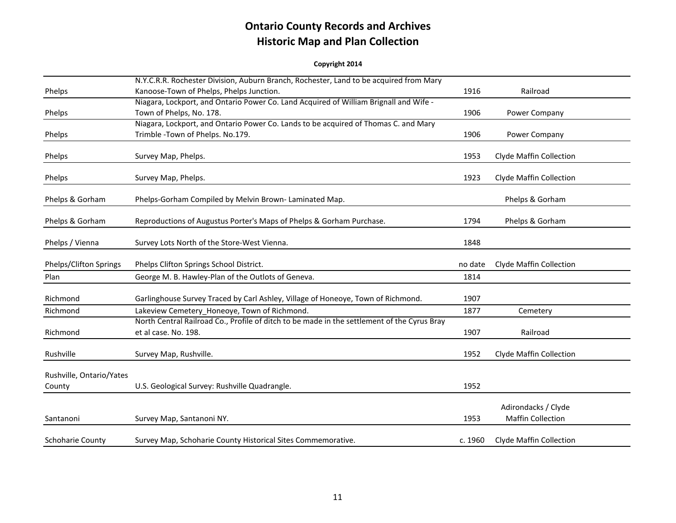|                          | N.Y.C.R.R. Rochester Division, Auburn Branch, Rochester, Land to be acquired from Mary      |         |                                                 |
|--------------------------|---------------------------------------------------------------------------------------------|---------|-------------------------------------------------|
| Phelps                   | Kanoose-Town of Phelps, Phelps Junction.                                                    | 1916    | Railroad                                        |
|                          | Niagara, Lockport, and Ontario Power Co. Land Acquired of William Brignall and Wife -       |         |                                                 |
| Phelps                   | Town of Phelps, No. 178.                                                                    | 1906    | Power Company                                   |
|                          | Niagara, Lockport, and Ontario Power Co. Lands to be acquired of Thomas C. and Mary         |         |                                                 |
| Phelps                   | Trimble - Town of Phelps. No.179.                                                           | 1906    | Power Company                                   |
| Phelps                   | Survey Map, Phelps.                                                                         | 1953    | <b>Clyde Maffin Collection</b>                  |
| Phelps                   | Survey Map, Phelps.                                                                         | 1923    | Clyde Maffin Collection                         |
| Phelps & Gorham          | Phelps-Gorham Compiled by Melvin Brown-Laminated Map.                                       |         | Phelps & Gorham                                 |
| Phelps & Gorham          | Reproductions of Augustus Porter's Maps of Phelps & Gorham Purchase.                        | 1794    | Phelps & Gorham                                 |
| Phelps / Vienna          | Survey Lots North of the Store-West Vienna.                                                 | 1848    |                                                 |
| Phelps/Clifton Springs   | Phelps Clifton Springs School District.                                                     | no date | Clyde Maffin Collection                         |
| Plan                     | George M. B. Hawley-Plan of the Outlots of Geneva.                                          | 1814    |                                                 |
| Richmond                 | Garlinghouse Survey Traced by Carl Ashley, Village of Honeoye, Town of Richmond.            | 1907    |                                                 |
| Richmond                 | Lakeview Cemetery_Honeoye, Town of Richmond.                                                | 1877    | Cemetery                                        |
|                          | North Central Railroad Co., Profile of ditch to be made in the settlement of the Cyrus Bray |         |                                                 |
| Richmond                 | et al case. No. 198.                                                                        | 1907    | Railroad                                        |
| Rushville                | Survey Map, Rushville.                                                                      | 1952    | <b>Clyde Maffin Collection</b>                  |
| Rushville, Ontario/Yates |                                                                                             |         |                                                 |
| County                   | U.S. Geological Survey: Rushville Quadrangle.                                               | 1952    |                                                 |
| Santanoni                | Survey Map, Santanoni NY.                                                                   | 1953    | Adirondacks / Clyde<br><b>Maffin Collection</b> |
| <b>Schoharie County</b>  | Survey Map, Schoharie County Historical Sites Commemorative.                                | c. 1960 | <b>Clyde Maffin Collection</b>                  |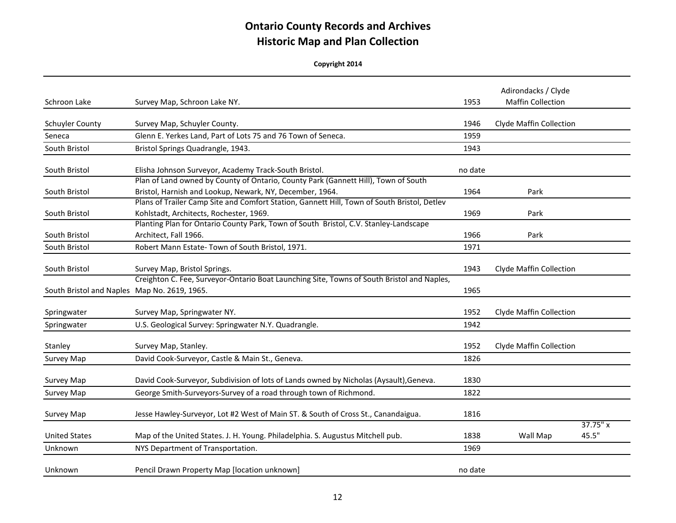| Schroon Lake                                 | Survey Map, Schroon Lake NY.                                                                                                                   | 1953    | Adirondacks / Clyde<br><b>Maffin Collection</b> |                      |
|----------------------------------------------|------------------------------------------------------------------------------------------------------------------------------------------------|---------|-------------------------------------------------|----------------------|
| Schuyler County                              | Survey Map, Schuyler County.                                                                                                                   | 1946    | Clyde Maffin Collection                         |                      |
| Seneca                                       | Glenn E. Yerkes Land, Part of Lots 75 and 76 Town of Seneca.                                                                                   | 1959    |                                                 |                      |
| South Bristol                                | Bristol Springs Quadrangle, 1943.                                                                                                              | 1943    |                                                 |                      |
| South Bristol                                | Elisha Johnson Surveyor, Academy Track-South Bristol.                                                                                          | no date |                                                 |                      |
| South Bristol                                | Plan of Land owned by County of Ontario, County Park (Gannett Hill), Town of South<br>Bristol, Harnish and Lookup, Newark, NY, December, 1964. | 1964    | Park                                            |                      |
| South Bristol                                | Plans of Trailer Camp Site and Comfort Station, Gannett Hill, Town of South Bristol, Detlev<br>Kohlstadt, Architects, Rochester, 1969.         | 1969    | Park                                            |                      |
| South Bristol                                | Planting Plan for Ontario County Park, Town of South Bristol, C.V. Stanley-Landscape<br>Architect, Fall 1966.                                  | 1966    | Park                                            |                      |
| South Bristol                                | Robert Mann Estate- Town of South Bristol, 1971.                                                                                               | 1971    |                                                 |                      |
| South Bristol                                | Survey Map, Bristol Springs.                                                                                                                   | 1943    | <b>Clyde Maffin Collection</b>                  |                      |
| South Bristol and Naples Map No. 2619, 1965. | Creighton C. Fee, Surveyor-Ontario Boat Launching Site, Towns of South Bristol and Naples,                                                     | 1965    |                                                 |                      |
| Springwater                                  | Survey Map, Springwater NY.                                                                                                                    | 1952    | Clyde Maffin Collection                         |                      |
| Springwater                                  | U.S. Geological Survey: Springwater N.Y. Quadrangle.                                                                                           | 1942    |                                                 |                      |
| Stanley                                      | Survey Map, Stanley.                                                                                                                           | 1952    | <b>Clyde Maffin Collection</b>                  |                      |
| Survey Map                                   | David Cook-Surveyor, Castle & Main St., Geneva.                                                                                                | 1826    |                                                 |                      |
| Survey Map                                   | David Cook-Surveyor, Subdivision of lots of Lands owned by Nicholas (Aysault), Geneva.                                                         | 1830    |                                                 |                      |
| Survey Map                                   | George Smith-Surveyors-Survey of a road through town of Richmond.                                                                              | 1822    |                                                 |                      |
| Survey Map                                   | Jesse Hawley-Surveyor, Lot #2 West of Main ST. & South of Cross St., Canandaigua.                                                              | 1816    |                                                 |                      |
| <b>United States</b>                         | Map of the United States. J. H. Young. Philadelphia. S. Augustus Mitchell pub.                                                                 | 1838    | Wall Map                                        | $37.75''$ x<br>45.5" |
| Unknown                                      | NYS Department of Transportation.                                                                                                              | 1969    |                                                 |                      |
| Unknown                                      | Pencil Drawn Property Map [location unknown]                                                                                                   | no date |                                                 |                      |